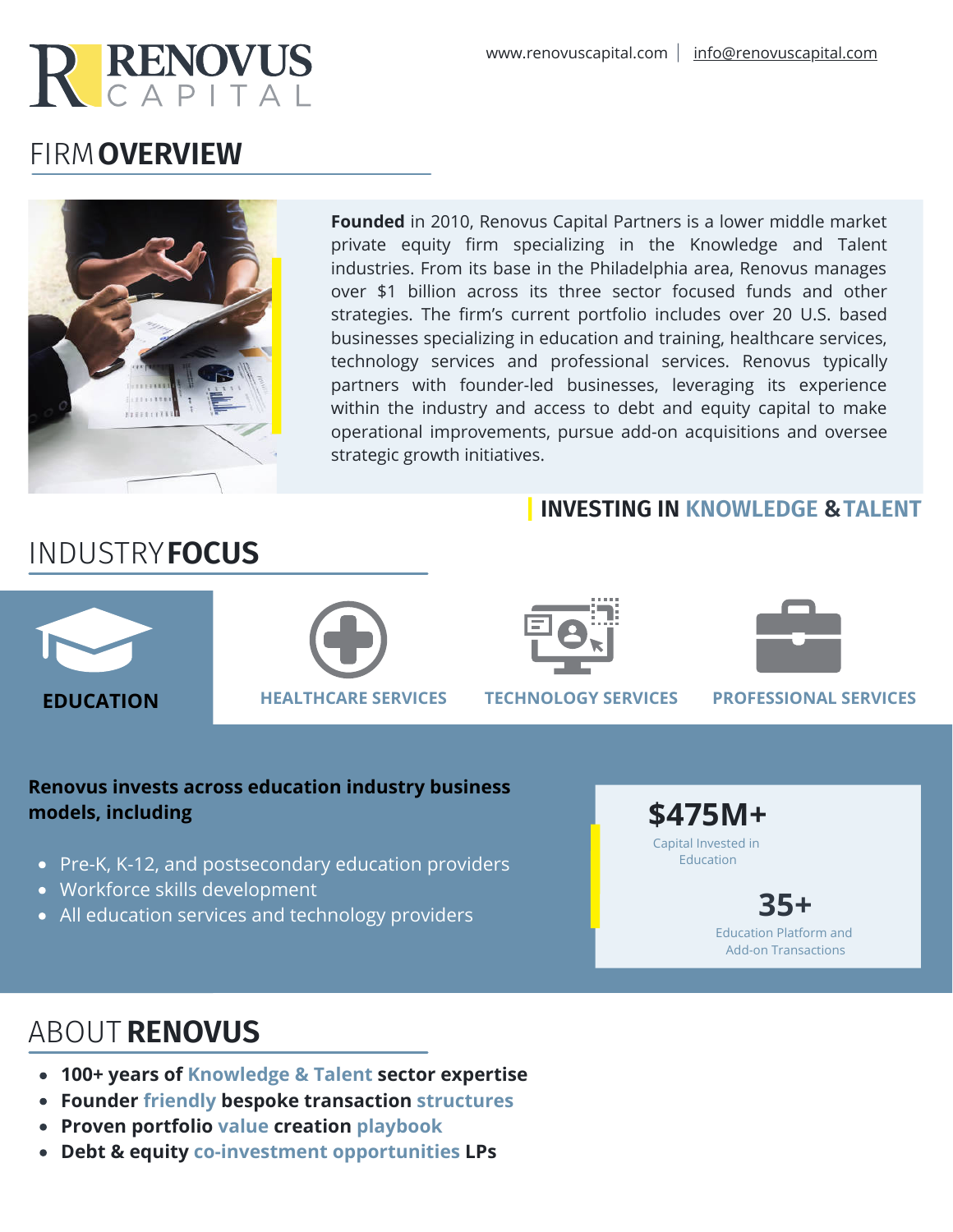

# FIRM **OVERVIEW**



INDUSTRY**FOCUS**

**Founded** in 2010, Renovus Capital Partners is a lower middle market private equity firm specializing in the Knowledge and Talent industries. From its base in the Philadelphia area, Renovus manages over \$1 billion across its three sector focused funds and other strategies. The firm's current portfolio includes over 20 U.S. based businesses specializing in education and training, healthcare services, technology services and professional services. Renovus typically partners with founder-led businesses, leveraging its experience within the industry and access to debt and equity capital to make operational improvements, pursue add-on acquisitions and oversee strategic growth initiatives.

### **INVESTING IN KNOWLEDGE & TALENT**





### **Renovus invests across education industry business models, including**

- Pre-K, K-12, and postsecondary education providers
- Workforce skills development
- All education services and technology providers

**\$475M+** Capital Invested in

Education

Education Platform and Add-on Transactions

**35+**

# ABOUT **RENOVUS**

- **100+ years of Knowledge & Talent sector expertise**
- **Founder friendly bespoke transaction structures**
- **Proven portfolio value creation playbook**
- **Debt & equity co-investment opportunities LPs**